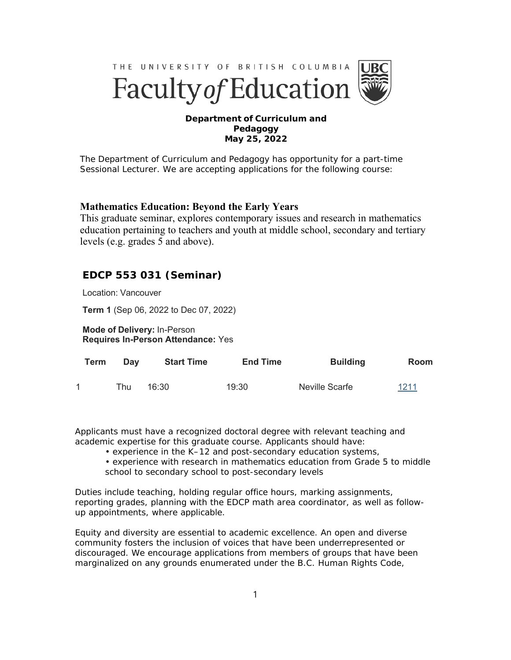

## **Department of Curriculum and Pedagogy May 25, 2022**

The Department of Curriculum and Pedagogy has opportunity for a part-time Sessional Lecturer. We are accepting applications for the following course:

## **Mathematics Education: Beyond the Early Years**

This graduate seminar, explores contemporary issues and research in mathematics education pertaining to teachers and youth at middle school, secondary and tertiary levels (e.g. grades 5 and above).

## **EDCP 553 031 (Seminar)**

Location: Vancouver

**Term 1** (Sep 06, 2022 to Dec 07, 2022)

**Mode of Delivery:** In-Person **Requires In-Person Attendance:** Yes

| Term | Dav | <b>Start Time</b> | <b>End Time</b> | <b>Building</b> | Room |
|------|-----|-------------------|-----------------|-----------------|------|
|      | Thu | 16:30             | 19:30           | Neville Scarfe  | 1211 |

Applicants must have a recognized doctoral degree with relevant teaching and academic expertise for this graduate course. Applicants should have:

- experience in the K–12 and post-secondary education systems,
- experience with research in mathematics education from Grade 5 to middle school to secondary school to post-secondary levels

Duties include teaching, holding regular office hours, marking assignments, reporting grades, planning with the EDCP math area coordinator, as well as followup appointments, where applicable.

Equity and diversity are essential to academic excellence. An open and diverse community fosters the inclusion of voices that have been underrepresented or discouraged. We encourage applications from members of groups that have been marginalized on any grounds enumerated under the B.C. Human Rights Code,